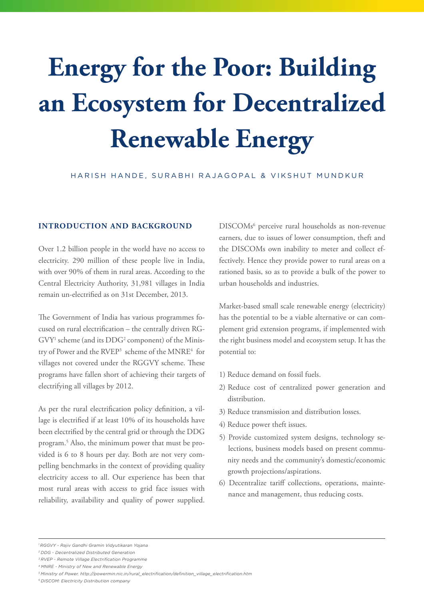# **Energy for the Poor: Building an Ecosystem for Decentralized Renewable Energy**

HARISH HANDE, SURABHI RAJAGOPAL & VIKSHUT MUNDKUR

#### **INTRODUCTION AND BACKGROUND**

Over 1.2 billion people in the world have no access to electricity. 290 million of these people live in India, with over 90% of them in rural areas. According to the Central Electricity Authority, 31,981 villages in India remain un-electrified as on 31st December, 2013.

The Government of India has various programmes focused on rural electrification – the centrally driven RG- $\mathrm{GVY^1}$  scheme (and its  $\mathrm{DDG^2}$  component) of the Ministry of Power and the RVEP<sup>3</sup> scheme of the MNRE<sup>4</sup> for villages not covered under the RGGVY scheme. These programs have fallen short of achieving their targets of electrifying all villages by 2012.

As per the rural electrification policy definition, a village is electrified if at least 10% of its households have been electrified by the central grid or through the DDG program.5 Also, the minimum power that must be provided is 6 to 8 hours per day. Both are not very compelling benchmarks in the context of providing quality electricity access to all. Our experience has been that most rural areas with access to grid face issues with reliability, availability and quality of power supplied.

DISCOMs<sup>6</sup> perceive rural households as non-revenue earners, due to issues of lower consumption, theft and the DISCOMs own inability to meter and collect effectively. Hence they provide power to rural areas on a rationed basis, so as to provide a bulk of the power to urban households and industries.

Market-based small scale renewable energy (electricity) has the potential to be a viable alternative or can complement grid extension programs, if implemented with the right business model and ecosystem setup. It has the potential to:

- 1) Reduce demand on fossil fuels.
- 2) Reduce cost of centralized power generation and distribution.
- 3) Reduce transmission and distribution losses.
- 4) Reduce power theft issues.
- 5) Provide customized system designs, technology se lections, business models based on present commu nity needs and the community's domestic/economic growth projections/aspirations.
- 6) Decentralize tariff collections, operations, mainte nance and management, thus reducing costs.

*2 DDG - Decentralized Distributed Generation*

*4 MNRE - Ministry of New and Renewable Energy*

*6 DISCOM: Electricity Distribution company*

*<sup>1</sup> RGGVY - Rajiv Gandhi Gramin Vidyutikaran Yojana*

*<sup>3</sup> RVEP - Remote Village Electrification Programme*

*<sup>5</sup> Ministry of Power, http://powermin.nic.in/rural\_electrification/definition\_village\_electrification.htm*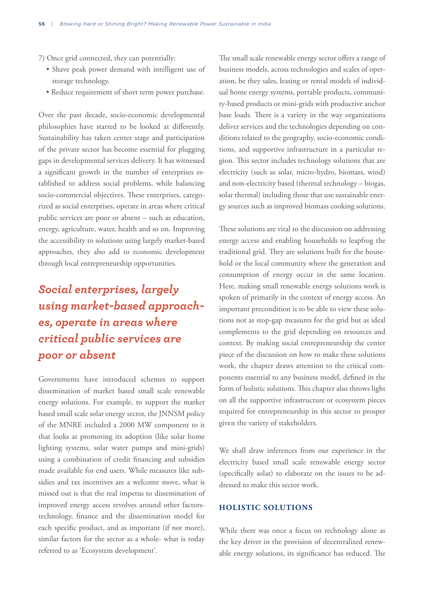7) Once grid connected, they can potentially:

- Shave peak power demand with intelligent use of storage technology.
- Reduce requirement of short term power purchase.

Over the past decade, socio-economic developmental philosophies have started to be looked at differently. Sustainability has taken center stage and participation of the private sector has become essential for plugging gaps in developmental services delivery. It has witnessed a significant growth in the number of enterprises established to address social problems, while balancing socio-commercial objectives. These enterprises, categorized as social enterprises, operate in areas where critical public services are poor or absent – such as education, energy, agriculture, water, health and so on. Improving the accessibility to solutions using largely market-based approaches, they also add to economic development through local entrepreneurship opportunities.

# *Social enterprises, largely using market-based approaches, operate in areas where critical public services are poor or absent*

Governments have introduced schemes to support dissemination of market based small scale renewable energy solutions. For example, to support the market based small scale solar energy sector, the JNNSM policy of the MNRE included a 2000 MW component to it that looks at promoting its adoption (like solar home lighting systems, solar water pumps and mini-grids) using a combination of credit financing and subsidies made available for end users. While measures like subsidies and tax incentives are a welcome move, what is missed out is that the real impetus to dissemination of improved energy access revolves around other factorstechnology, finance and the dissemination model for each specific product, and as important (if not more), similar factors for the sector as a whole- what is today referred to as 'Ecosystem development'.

The small scale renewable energy sector offers a range of business models, across technologies and scales of operation, be they sales, leasing or rental models of individual home energy systems, portable products, community-based products or mini-grids with productive anchor base loads. There is a variety in the way organizations deliver services and the technologies depending on conditions related to the geography, socio-economic conditions, and supportive infrastructure in a particular region. This sector includes technology solutions that are electricity (such as solar, micro-hydro, biomass, wind) and non-electricity based (thermal technology – biogas, solar thermal) including those that use sustainable energy sources such as improved biomass cooking solutions.

These solutions are vital to the discussion on addressing energy access and enabling households to leapfrog the traditional grid. They are solutions built for the household or the local community where the generation and consumption of energy occur in the same location. Here, making small renewable energy solutions work is spoken of primarily in the context of energy access. An important precondition is to be able to view these solutions not as stop-gap measures for the grid but as ideal complements to the grid depending on resources and context. By making social entrepreneurship the center piece of the discussion on how to make these solutions work, the chapter draws attention to the critical components essential to any business model, defined in the form of holistic solutions. This chapter also throws light on all the supportive infrastructure or ecosystem pieces required for entrepreneurship in this sector to prosper given the variety of stakeholders.

We shall draw inferences from our experience in the electricity based small scale renewable energy sector (specifically solar) to elaborate on the issues to be addressed to make this sector work.

### **HOLISTIC SOLUTIONS**

While there was once a focus on technology alone as the key driver in the provision of decentralized renewable energy solutions, its significance has reduced. The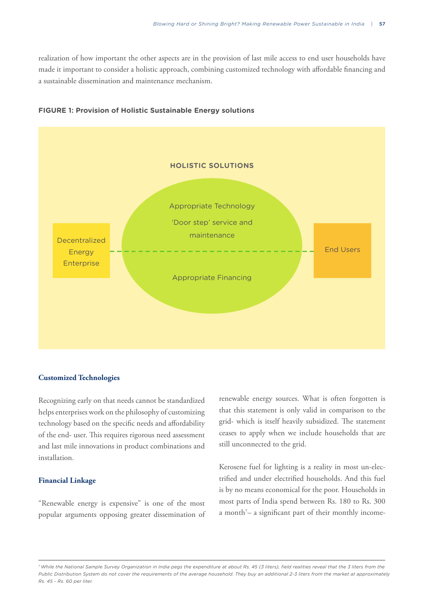realization of how important the other aspects are in the provision of last mile access to end user households have made it important to consider a holistic approach, combining customized technology with affordable financing and a sustainable dissemination and maintenance mechanism.



#### **FIGURE 1: Provision of Holistic Sustainable Energy solutions**

#### **Customized Technologies**

Recognizing early on that needs cannot be standardized helps enterprises work on the philosophy of customizing technology based on the specific needs and affordability of the end- user. This requires rigorous need assessment and last mile innovations in product combinations and installation.

#### **Financial Linkage**

"Renewable energy is expensive" is one of the most popular arguments opposing greater dissemination of renewable energy sources. What is often forgotten is that this statement is only valid in comparison to the grid- which is itself heavily subsidized. The statement ceases to apply when we include households that are still unconnected to the grid.

Kerosene fuel for lighting is a reality in most un-electrified and under electrified households. And this fuel is by no means economical for the poor. Households in most parts of India spend between Rs. 180 to Rs. 300 a month<sup>7</sup>– a significant part of their monthly income-

*<sup>7</sup> While the National Sample Survey Organization in India pegs the expenditure at about Rs. 45 (3 liters), field realities reveal that the 3 liters from the Public Distribution System do not cover the requirements of the average household. They buy an additional 2-3 liters from the market at approximately Rs. 45 - Rs. 60 per liter.*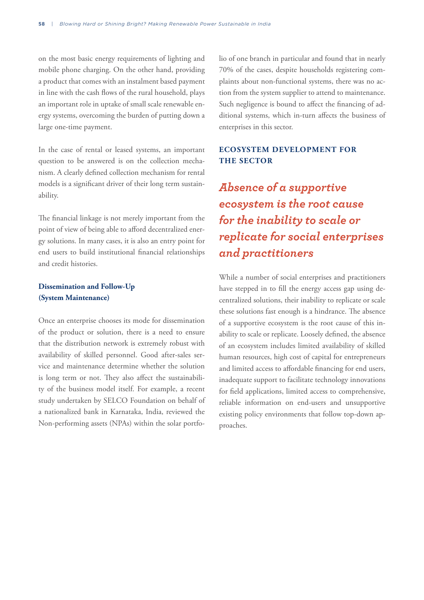on the most basic energy requirements of lighting and mobile phone charging. On the other hand, providing a product that comes with an instalment based payment in line with the cash flows of the rural household, plays an important role in uptake of small scale renewable energy systems, overcoming the burden of putting down a large one-time payment.

In the case of rental or leased systems, an important question to be answered is on the collection mechanism. A clearly defined collection mechanism for rental models is a significant driver of their long term sustainability.

The financial linkage is not merely important from the point of view of being able to afford decentralized energy solutions. In many cases, it is also an entry point for end users to build institutional financial relationships and credit histories.

## **Dissemination and Follow-Up (System Maintenance)**

Once an enterprise chooses its mode for dissemination of the product or solution, there is a need to ensure that the distribution network is extremely robust with availability of skilled personnel. Good after-sales service and maintenance determine whether the solution is long term or not. They also affect the sustainability of the business model itself. For example, a recent study undertaken by SELCO Foundation on behalf of a nationalized bank in Karnataka, India, reviewed the Non-performing assets (NPAs) within the solar portfolio of one branch in particular and found that in nearly 70% of the cases, despite households registering complaints about non-functional systems, there was no action from the system supplier to attend to maintenance. Such negligence is bound to affect the financing of additional systems, which in-turn affects the business of enterprises in this sector.

## **ECOSYSTEM DEVELOPMENT FOR THE SECTOR**

*Absence of a supportive ecosystem is the root cause for the inability to scale or replicate for social enterprises and practitioners*

While a number of social enterprises and practitioners have stepped in to fill the energy access gap using decentralized solutions, their inability to replicate or scale these solutions fast enough is a hindrance. The absence of a supportive ecosystem is the root cause of this inability to scale or replicate. Loosely defined, the absence of an ecosystem includes limited availability of skilled human resources, high cost of capital for entrepreneurs and limited access to affordable financing for end users, inadequate support to facilitate technology innovations for field applications, limited access to comprehensive, reliable information on end-users and unsupportive existing policy environments that follow top-down approaches.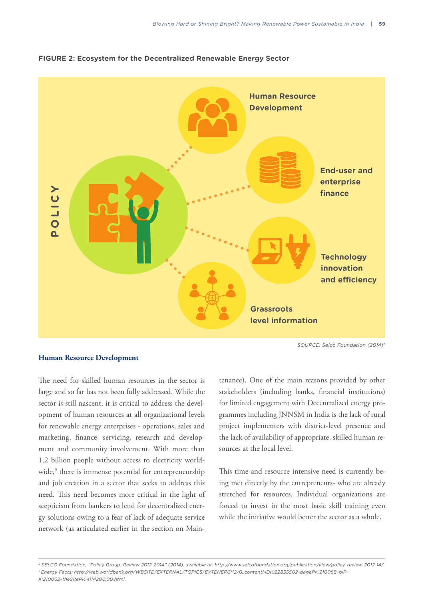



#### **Human Resource Development**

The need for skilled human resources in the sector is large and so far has not been fully addressed. While the sector is still nascent, it is critical to address the development of human resources at all organizational levels for renewable energy enterprises - operations, sales and marketing, finance, servicing, research and development and community involvement. With more than 1.2 billion people without access to electricity worldwide,<sup>9</sup> there is immense potential for entrepreneurship and job creation in a sector that seeks to address this need. This need becomes more critical in the light of scepticism from bankers to lend for decentralized energy solutions owing to a fear of lack of adequate service network (as articulated earlier in the section on Maintenance). One of the main reasons provided by other stakeholders (including banks, financial institutions) for limited engagement with Decentralized energy programmes including JNNSM in India is the lack of rural project implementers with district-level presence and the lack of availability of appropriate, skilled human resources at the local level.

This time and resource intensive need is currently being met directly by the entrepreneurs- who are already stretched for resources. Individual organizations are forced to invest in the most basic skill training even while the initiative would better the sector as a whole.

*<sup>8</sup> SELCO Foundation, "Policy Group: Review 2012-2014" (2014), available at: http://www.selcofoundation.org/publication/view/policy-review-2012-14/ 9 Energy Facts: http://web.worldbank.org/WBSITE/EXTERNAL/TOPICS/EXTENERGY2/0,,contentMDK:22855502~pagePK:210058~piP-K:210062~theSitePK:4114200,00.html.*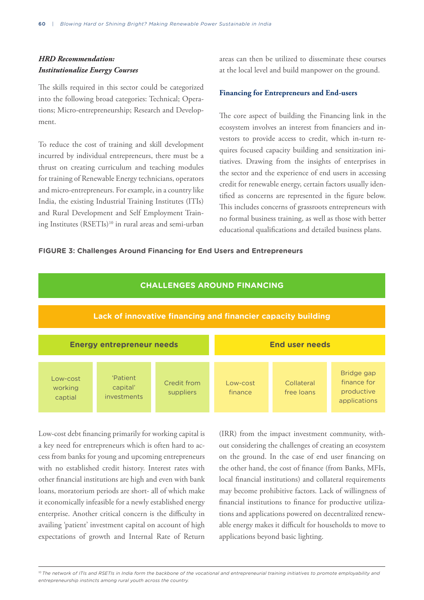# *HRD Recommendation: Institutionalize Energy Courses*

The skills required in this sector could be categorized into the following broad categories: Technical; Operations; Micro-entrepreneurship; Research and Development.

To reduce the cost of training and skill development incurred by individual entrepreneurs, there must be a thrust on creating curriculum and teaching modules for training of Renewable Energy technicians, operators and micro-entrepreneurs. For example, in a country like India, the existing Industrial Training Institutes (ITIs) and Rural Development and Self Employment Training Institutes (RSETIs)<sup>10</sup> in rural areas and semi-urban

areas can then be utilized to disseminate these courses at the local level and build manpower on the ground.

#### **Financing for Entrepreneurs and End-users**

The core aspect of building the Financing link in the ecosystem involves an interest from financiers and investors to provide access to credit, which in-turn requires focused capacity building and sensitization initiatives. Drawing from the insights of enterprises in the sector and the experience of end users in accessing credit for renewable energy, certain factors usually identified as concerns are represented in the figure below. This includes concerns of grassroots entrepreneurs with no formal business training, as well as those with better educational qualifications and detailed business plans.

#### **FIGURE 3: Challenges Around Financing for End Users and Entrepreneurs**



Low-cost debt financing primarily for working capital is a key need for entrepreneurs which is often hard to access from banks for young and upcoming entrepreneurs with no established credit history. Interest rates with other financial institutions are high and even with bank loans, moratorium periods are short- all of which make it economically infeasible for a newly established energy enterprise. Another critical concern is the difficulty in availing 'patient' investment capital on account of high expectations of growth and Internal Rate of Return

(IRR) from the impact investment community, without considering the challenges of creating an ecosystem on the ground. In the case of end user financing on the other hand, the cost of finance (from Banks, MFIs, local financial institutions) and collateral requirements may become prohibitive factors. Lack of willingness of financial institutions to finance for productive utilizations and applications powered on decentralized renewable energy makes it difficult for households to move to applications beyond basic lighting.

<sup>10</sup> The network of ITIs and RSETIs in India form the backbone of the vocational and entrepreneurial training initiatives to promote employability and *entrepreneurship instincts among rural youth across the country.*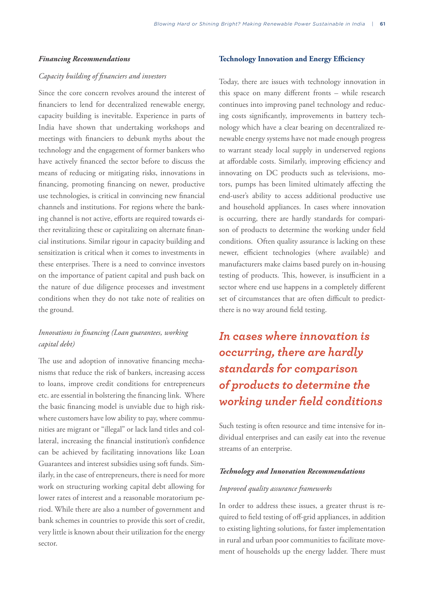#### *Financing Recommendations*

#### *Capacity building of financiers and investors*

Since the core concern revolves around the interest of financiers to lend for decentralized renewable energy, capacity building is inevitable. Experience in parts of India have shown that undertaking workshops and meetings with financiers to debunk myths about the technology and the engagement of former bankers who have actively financed the sector before to discuss the means of reducing or mitigating risks, innovations in financing, promoting financing on newer, productive use technologies, is critical in convincing new financial channels and institutions. For regions where the banking channel is not active, efforts are required towards either revitalizing these or capitalizing on alternate financial institutions. Similar rigour in capacity building and sensitization is critical when it comes to investments in these enterprises. There is a need to convince investors on the importance of patient capital and push back on the nature of due diligence processes and investment conditions when they do not take note of realities on the ground.

## *Innovations in financing (Loan guarantees, working capital debt)*

The use and adoption of innovative financing mechanisms that reduce the risk of bankers, increasing access to loans, improve credit conditions for entrepreneurs etc. are essential in bolstering the financing link. Where the basic financing model is unviable due to high riskwhere customers have low ability to pay, where communities are migrant or "illegal" or lack land titles and collateral, increasing the financial institution's confidence can be achieved by facilitating innovations like Loan Guarantees and interest subsidies using soft funds. Similarly, in the case of entrepreneurs, there is need for more work on structuring working capital debt allowing for lower rates of interest and a reasonable moratorium period. While there are also a number of government and bank schemes in countries to provide this sort of credit, very little is known about their utilization for the energy sector.

#### **Technology Innovation and Energy Efficiency**

Today, there are issues with technology innovation in this space on many different fronts – while research continues into improving panel technology and reducing costs significantly, improvements in battery technology which have a clear bearing on decentralized renewable energy systems have not made enough progress to warrant steady local supply in underserved regions at affordable costs. Similarly, improving efficiency and innovating on DC products such as televisions, motors, pumps has been limited ultimately affecting the end-user's ability to access additional productive use and household appliances. In cases where innovation is occurring, there are hardly standards for comparison of products to determine the working under field conditions. Often quality assurance is lacking on these newer, efficient technologies (where available) and manufacturers make claims based purely on in-housing testing of products. This, however, is insufficient in a sector where end use happens in a completely different set of circumstances that are often difficult to predictthere is no way around field testing.

# *In cases where innovation is occurring, there are hardly standards for comparison of products to determine the working under field conditions*

Such testing is often resource and time intensive for individual enterprises and can easily eat into the revenue streams of an enterprise.

#### *Technology and Innovation Recommendations*

#### *Improved quality assurance frameworks*

In order to address these issues, a greater thrust is required to field testing of off-grid appliances, in addition to existing lighting solutions, for faster implementation in rural and urban poor communities to facilitate movement of households up the energy ladder. There must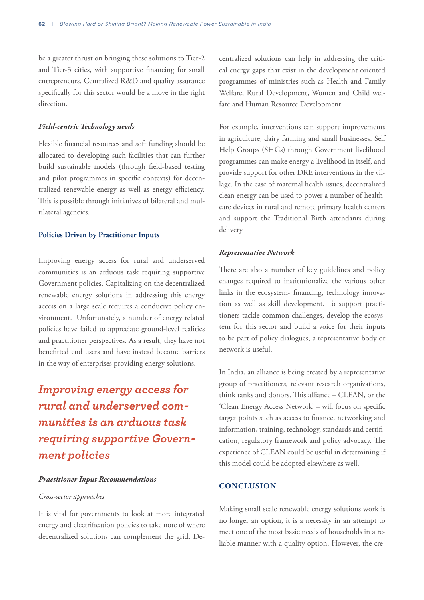be a greater thrust on bringing these solutions to Tier-2 and Tier-3 cities, with supportive financing for small entrepreneurs. Centralized R&D and quality assurance specifically for this sector would be a move in the right direction.

#### *Field-centric Technology needs*

Flexible financial resources and soft funding should be allocated to developing such facilities that can further build sustainable models (through field-based testing and pilot programmes in specific contexts) for decentralized renewable energy as well as energy efficiency. This is possible through initiatives of bilateral and multilateral agencies.

#### **Policies Driven by Practitioner Inputs**

Improving energy access for rural and underserved communities is an arduous task requiring supportive Government policies. Capitalizing on the decentralized renewable energy solutions in addressing this energy access on a large scale requires a conducive policy environment. Unfortunately, a number of energy related policies have failed to appreciate ground-level realities and practitioner perspectives. As a result, they have not benefitted end users and have instead become barriers in the way of enterprises providing energy solutions.

# *Improving energy access for rural and underserved communities is an arduous task requiring supportive Government policies*

#### *Practitioner Input Recommendations*

#### *Cross-sector approaches*

It is vital for governments to look at more integrated energy and electrification policies to take note of where decentralized solutions can complement the grid. Decentralized solutions can help in addressing the critical energy gaps that exist in the development oriented programmes of ministries such as Health and Family Welfare, Rural Development, Women and Child welfare and Human Resource Development.

For example, interventions can support improvements in agriculture, dairy farming and small businesses. Self Help Groups (SHGs) through Government livelihood programmes can make energy a livelihood in itself, and provide support for other DRE interventions in the village. In the case of maternal health issues, decentralized clean energy can be used to power a number of healthcare devices in rural and remote primary health centers and support the Traditional Birth attendants during delivery.

#### *Representative Network*

There are also a number of key guidelines and policy changes required to institutionalize the various other links in the ecosystem- financing, technology innovation as well as skill development. To support practitioners tackle common challenges, develop the ecosystem for this sector and build a voice for their inputs to be part of policy dialogues, a representative body or network is useful.

In India, an alliance is being created by a representative group of practitioners, relevant research organizations, think tanks and donors. This alliance – CLEAN, or the 'Clean Energy Access Network' – will focus on specific target points such as access to finance, networking and information, training, technology, standards and certification, regulatory framework and policy advocacy. The experience of CLEAN could be useful in determining if this model could be adopted elsewhere as well.

#### **CONCLUSION**

Making small scale renewable energy solutions work is no longer an option, it is a necessity in an attempt to meet one of the most basic needs of households in a reliable manner with a quality option. However, the cre